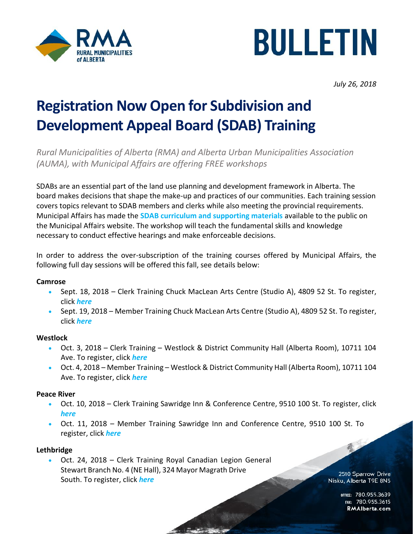



*July 26, 2018*

# **Registration Now Open for Subdivision and Development Appeal Board (SDAB) Training**

*Rural Municipalities of Alberta (RMA) and Alberta Urban Municipalities Association (AUMA), with Municipal Affairs are offering FREE workshops* 

SDABs are an essential part of the land use planning and development framework in Alberta. The board makes decisions that shape the make-up and practices of our communities. Each training session covers topics relevant to SDAB members and clerks while also meeting the provincial requirements. Municipal Affairs has made the **[SDAB curriculum and supporting materials](https://open.alberta.ca/publications/9781460140031)** available to the public on the Municipal Affairs website. The workshop will teach the fundamental skills and knowledge necessary to conduct effective hearings and make enforceable decisions.

In order to address the over-subscription of the training courses offered by Municipal Affairs, the following full day sessions will be offered this fall, see details below:

## **Camrose**

- Sept. 18, 2018 Clerk Training Chuck MacLean Arts Centre (Studio A), 4809 52 St. To register, click *[here](https://sdabtrainingsept18.eventbrite.ca/)*
- Sept. 19, 2018 Member Training Chuck MacLean Arts Centre (Studio A), 4809 52 St. To register, click *[here](https://sdabtrainingsept19.eventbrite.ca/)*

## **Westlock**

- Oct. 3, 2018 Clerk Training Westlock & District Community Hall (Alberta Room), 10711 104 Ave. To register, click *[here](https://sdabtrainingoct3.eventbrite.ca/)*
- Oct. 4, 2018 Member Training Westlock & District Community Hall (Alberta Room), 10711 104 Ave. To register, click *[here](https://sdabtrainingoct4.eventbrite.ca/)*

#### **Peace River**

- Oct. 10, 2018 Clerk Training Sawridge Inn & Conference Centre, 9510 100 St. To register, click *[here](https://sdabtrainingoct10.eventbrite.ca/)*
- Oct. 11, 2018 Member Training Sawridge Inn and Conference Centre, 9510 100 St. To register, click *[here](https://sdabtrainingoct11.eventbrite.ca/)*

## **Lethbridge**

• Oct. 24, 2018 – Clerk Training Royal Canadian Legion General Stewart Branch No. 4 (NE Hall), 324 Mayor Magrath Drive South. To register, click *[here](https://sdabtrainingoct24.eventbrite.ca/)*

2510 Sparrow Drive Nisku, Alberta T9E 8N5

> office: 780.955.3639<br>1565.780.955 RMAIberta.com